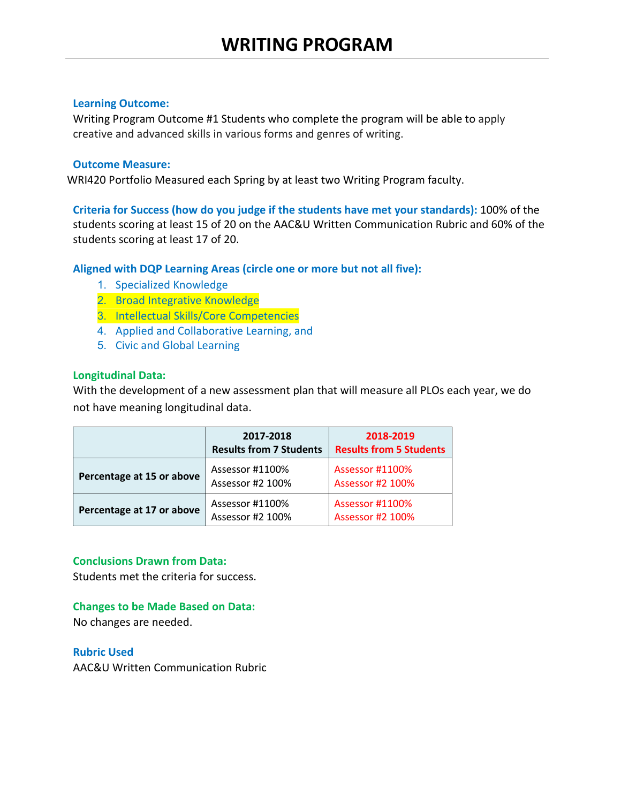Writing Program Outcome #1 Students who complete the program will be able to apply creative and advanced skills in various forms and genres of writing.

# **Outcome Measure:**

WRI420 Portfolio Measured each Spring by at least two Writing Program faculty.

**Criteria for Success (how do you judge if the students have met your standards):** 100% of the students scoring at least 15 of 20 on the AAC&U Written Communication Rubric and 60% of the students scoring at least 17 of 20.

**Aligned with DQP Learning Areas (circle one or more but not all five):**

- 1. Specialized Knowledge
- 2. Broad Integrative Knowledge
- 3. Intellectual Skills/Core Competencies
- 4. Applied and Collaborative Learning, and
- 5. Civic and Global Learning

# **Longitudinal Data:**

With the development of a new assessment plan that will measure all PLOs each year, we do not have meaning longitudinal data.

|                           | 2017-2018<br><b>Results from 7 Students</b> | 2018-2019<br><b>Results from 5 Students</b> |
|---------------------------|---------------------------------------------|---------------------------------------------|
| Percentage at 15 or above | Assessor #1100%<br>Assessor #2 100%         | Assessor #1100%<br><b>Assessor #2 100%</b>  |
| Percentage at 17 or above | Assessor #1100%<br>Assessor #2 100%         | Assessor #1100%<br><b>Assessor #2 100%</b>  |

## **Conclusions Drawn from Data:**

Students met the criteria for success.

## **Changes to be Made Based on Data:**

No changes are needed.

**Rubric Used**

AAC&U Written Communication Rubric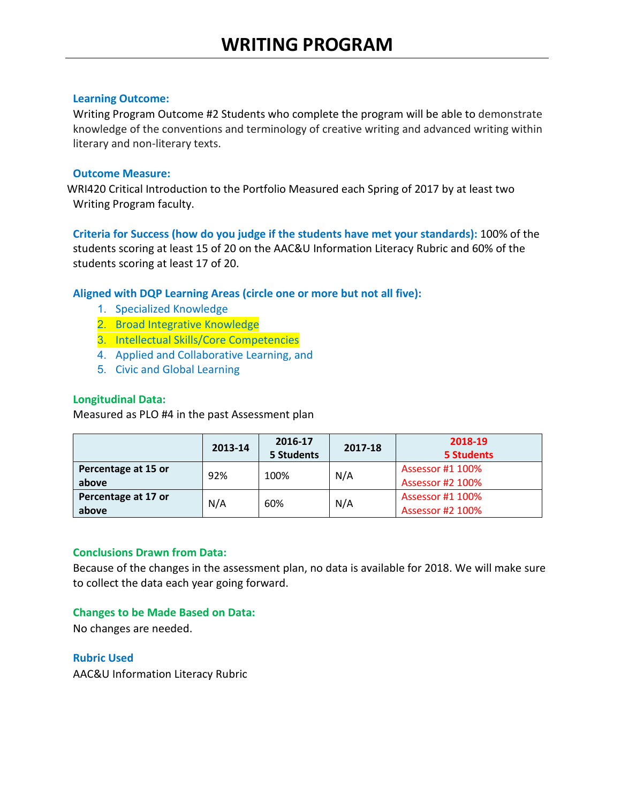Writing Program Outcome #2 Students who complete the program will be able to demonstrate knowledge of the conventions and terminology of creative writing and advanced writing within literary and non-literary texts.

## **Outcome Measure:**

WRI420 Critical Introduction to the Portfolio Measured each Spring of 2017 by at least two Writing Program faculty.

**Criteria for Success (how do you judge if the students have met your standards):** 100% of the students scoring at least 15 of 20 on the AAC&U Information Literacy Rubric and 60% of the students scoring at least 17 of 20.

## **Aligned with DQP Learning Areas (circle one or more but not all five):**

- 1. Specialized Knowledge
- 2. Broad Integrative Knowledge
- 3. Intellectual Skills/Core Competencies
- 4. Applied and Collaborative Learning, and
- 5. Civic and Global Learning

## **Longitudinal Data:**

Measured as PLO #4 in the past Assessment plan

|                              | 2013-14 | 2016-17<br>5 Students | 2017-18 | 2018-19<br><b>5 Students</b>                |
|------------------------------|---------|-----------------------|---------|---------------------------------------------|
| Percentage at 15 or<br>above | 92%     | 100%                  | N/A     | Assessor #1 100%<br>Assessor #2 100%        |
| Percentage at 17 or<br>above | N/A     | 60%                   | N/A     | Assessor #1 100%<br><b>Assessor #2 100%</b> |

# **Conclusions Drawn from Data:**

Because of the changes in the assessment plan, no data is available for 2018. We will make sure to collect the data each year going forward.

## **Changes to be Made Based on Data:**

No changes are needed.

#### **Rubric Used**

AAC&U Information Literacy Rubric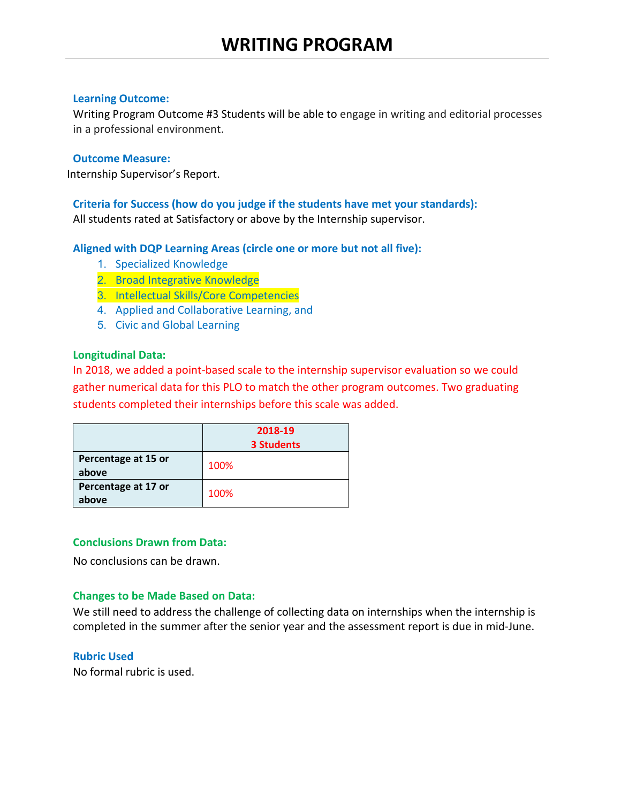Writing Program Outcome #3 Students will be able to engage in writing and editorial processes in a professional environment.

#### **Outcome Measure:**

Internship Supervisor's Report.

## **Criteria for Success (how do you judge if the students have met your standards):**  All students rated at Satisfactory or above by the Internship supervisor.

## **Aligned with DQP Learning Areas (circle one or more but not all five):**

- 1. Specialized Knowledge
- 2. Broad Integrative Knowledge
- 3. Intellectual Skills/Core Competencies
- 4. Applied and Collaborative Learning, and
- 5. Civic and Global Learning

#### **Longitudinal Data:**

In 2018, we added a point-based scale to the internship supervisor evaluation so we could gather numerical data for this PLO to match the other program outcomes. Two graduating students completed their internships before this scale was added.

|                              | 2018-19           |  |
|------------------------------|-------------------|--|
|                              | <b>3 Students</b> |  |
| Percentage at 15 or<br>above | 100%              |  |
| Percentage at 17 or<br>above | 100%              |  |

## **Conclusions Drawn from Data:**

No conclusions can be drawn.

## **Changes to be Made Based on Data:**

We still need to address the challenge of collecting data on internships when the internship is completed in the summer after the senior year and the assessment report is due in mid-June.

## **Rubric Used**

No formal rubric is used.